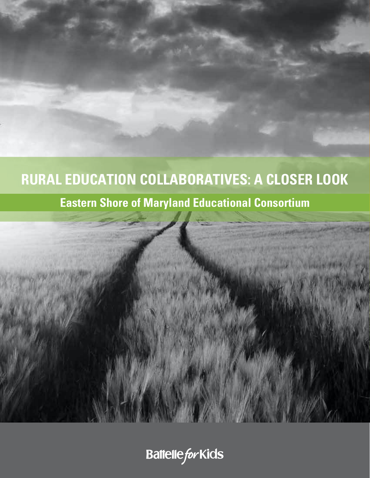# **RURAL EDUCATION COLLABORATIVES: A CLOSER LOOK**

## **Eastern Shore of Maryland Educational Consortium**



**Battelle for Kids**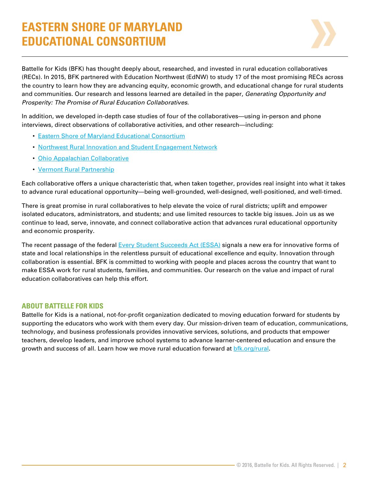## **EASTERN SHORE OF MARYLAND EDUCATIONAL CONSORTIUM**



Battelle for Kids (BFK) has thought deeply about, researched, and invested in rural education collaboratives (RECs). In 2015, BFK partnered with Education Northwest (EdNW) to study 17 of the most promising RECs across the country to learn how they are advancing equity, economic growth, and educational change for rural students and communities. Our research and lessons learned are detailed in the paper, *Generating Opportunity and Prosperity: The Promise of Rural Education Collaboratives*.

In addition, we developed in-depth case studies of four of the collaboratives—using in-person and phone interviews, direct observations of collaborative activities, and other research—including:

- [Eastern Shore of Maryland Educational Consortium](http://www.esmec.org/)
- [Northwest Rural Innovation and Student Engagement Network](http://nwcc.educationnorthwest.org/nw-rise-network)
- [Ohio Appalachian Collaborative](http://portal.battelleforkids.org/OAC/oac-home)
- [Vermont Rural Partnership](http://www.vermontruralpartnership.org/)

Each collaborative offers a unique characteristic that, when taken together, provides real insight into what it takes to advance rural educational opportunity—being well-grounded, well-designed, well-positioned, and well-timed.

There is great promise in rural collaboratives to help elevate the voice of rural districts; uplift and empower isolated educators, administrators, and students; and use limited resources to tackle big issues. Join us as we continue to lead, serve, innovate, and connect collaborative action that advances rural educational opportunity and economic prosperity.

The recent passage of the federal [Every Student Succeeds Act \(ESSA\)](http://www.ed.gov/essa) signals a new era for innovative forms of state and local relationships in the relentless pursuit of educational excellence and equity. Innovation through collaboration is essential. BFK is committed to working with people and places across the country that want to make ESSA work for rural students, families, and communities. Our research on the value and impact of rural education collaboratives can help this effort.

## **ABOUT BATTELLE FOR KIDS**

Battelle for Kids is a national, not-for-profit organization dedicated to moving education forward for students by supporting the educators who work with them every day. Our mission-driven team of education, communications, technology, and business professionals provides innovative services, solutions, and products that empower teachers, develop leaders, and improve school systems to advance learner-centered education and ensure the growth and success of all. Learn how we move rural education forward at bfk.org/rural.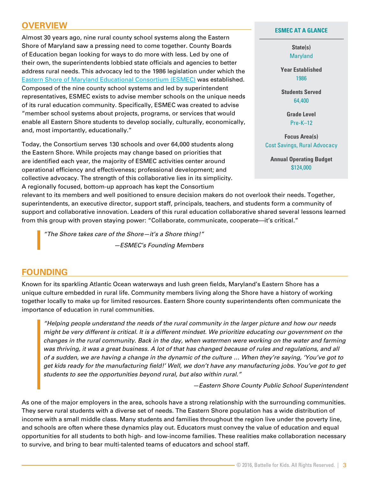## **OVERVIEW**

Almost 30 years ago, nine rural county school systems along the Eastern Shore of Maryland saw a pressing need to come together. County Boards of Education began looking for ways to do more with less. Led by one of their own, the superintendents lobbied state officials and agencies to better address rural needs. This advocacy led to the 1986 legislation under which the [Eastern Shore of Maryland Educational Consortium \(ESMEC\)](http://www.esmec.org/) was established. Composed of the nine county school systems and led by superintendent representatives, ESMEC exists to advise member schools on the unique needs of its rural education community. Specifically, ESMEC was created to advise "member school systems about projects, programs, or services that would enable all Eastern Shore students to develop socially, culturally, economically, and, most importantly, educationally."

Today, the Consortium serves 130 schools and over 64,000 students along the Eastern Shore. While projects may change based on priorities that are identified each year, the majority of ESMEC activities center around operational efficiency and effectiveness; professional development; and collective advocacy. The strength of this collaborative lies in its simplicity. A regionally focused, bottom-up approach has kept the Consortium

**ESMEC AT A GLANCE**

**State(s)** Maryland

**Year Established** 1986

**Students Served** 64,400

> **Grade Level** Pre-K–12

**Focus Area(s)** Cost Savings, Rural Advocacy

**Annual Operating Budget** \$124,000

relevant to its members and well positioned to ensure decision makers do not overlook their needs. Together, superintendents, an executive director, support staff, principals, teachers, and students form a community of support and collaborative innovation. Leaders of this rural education collaborative shared several lessons learned from this group with proven staying power: "Collaborate, communicate, cooperate—it's critical."

*"The Shore takes care of the Shore—it's a Shore thing!" —ESMEC's Founding Members*

## **FOUNDING**

Known for its sparkling Atlantic Ocean waterways and lush green fields, Maryland's Eastern Shore has a unique culture embedded in rural life. Community members living along the Shore have a history of working together locally to make up for limited resources. Eastern Shore county superintendents often communicate the importance of education in rural communities.

*"Helping people understand the needs of the rural community in the larger picture and how our needs might be very different is critical. It is a different mindset. We prioritize educating our government on the changes in the rural community. Back in the day, when watermen were working on the water and farming was thriving, it was a great business. A lot of that has changed because of rules and regulations, and all of a sudden, we are having a change in the dynamic of the culture … When they're saying, 'You've got to get kids ready for the manufacturing field!' Well, we don't have any manufacturing jobs. You've got to get students to see the opportunities beyond rural, but also within rural."* 

*—Eastern Shore County Public School Superintendent*

As one of the major employers in the area, schools have a strong relationship with the surrounding communities. They serve rural students with a diverse set of needs. The Eastern Shore population has a wide distribution of income with a small middle class. Many students and families throughout the region live under the poverty line, and schools are often where these dynamics play out. Educators must convey the value of education and equal opportunities for all students to both high- and low-income families. These realities make collaboration necessary to survive, and bring to bear multi-talented teams of educators and school staff.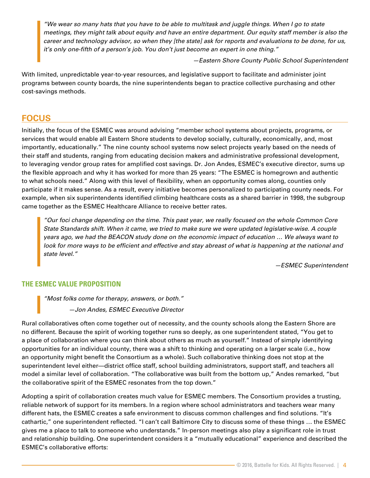*"We wear so many hats that you have to be able to multitask and juggle things. When I go to state meetings, they might talk about equity and have an entire department. Our equity staff member is also the career and technology advisor, so when they [the state] ask for reports and evaluations to be done, for us, it's only one-fifth of a person's job. You don't just become an expert in one thing."*

*—Eastern Shore County Public School Superintendent*

With limited, unpredictable year-to-year resources, and legislative support to facilitate and administer joint programs between county boards, the nine superintendents began to practice collective purchasing and other cost-savings methods.

## **FOCUS**

Initially, the focus of the ESMEC was around advising "member school systems about projects, programs, or services that would enable all Eastern Shore students to develop socially, culturally, economically, and, most importantly, educationally." The nine county school systems now select projects yearly based on the needs of their staff and students, ranging from educating decision makers and administrative professional development, to leveraging vendor group rates for amplified cost savings. Dr. Jon Andes, ESMEC's executive director, sums up the flexible approach and why it has worked for more than 25 years: "The ESMEC is homegrown and authentic to what schools need." Along with this level of flexibility, when an opportunity comes along, counties only participate if it makes sense. As a result, every initiative becomes personalized to participating county needs. For example, when six superintendents identified climbing healthcare costs as a shared barrier in 1998, the subgroup came together as the ESMEC Healthcare Alliance to receive better rates.

*"Our foci change depending on the time. This past year, we really focused on the whole Common Core State Standards shift. When it came, we tried to make sure we were updated legislative-wise. A couple years ago, we had the BEACON study done on the economic impact of education … We always want to look for more ways to be efficient and effective and stay abreast of what is happening at the national and state level."* 

*—ESMEC Superintendent*

## **THE ESMEC VALUE PROPOSITION**

*"Most folks come for therapy, answers, or both." —Jon Andes, ESMEC Executive Director*

Rural collaboratives often come together out of necessity, and the county schools along the Eastern Shore are no different. Because the spirit of working together runs so deeply, as one superintendent stated, "You get to a place of collaboration where you can think about others as much as yourself." Instead of simply identifying opportunities for an individual county, there was a shift to thinking and operating on a larger scale (i.e., how an opportunity might benefit the Consortium as a whole). Such collaborative thinking does not stop at the superintendent level either—district office staff, school building administrators, support staff, and teachers all model a similar level of collaboration. "The collaborative was built from the bottom up," Andes remarked, "but the collaborative spirit of the ESMEC resonates from the top down."

Adopting a spirit of collaboration creates much value for ESMEC members. The Consortium provides a trusting, reliable network of support for its members. In a region where school administrators and teachers wear many different hats, the ESMEC creates a safe environment to discuss common challenges and find solutions. "It's cathartic," one superintendent reflected. "I can't call Baltimore City to discuss some of these things … the ESMEC gives me a place to talk to someone who understands." In-person meetings also play a significant role in trust and relationship building. One superintendent considers it a "mutually educational" experience and described the ESMEC's collaborative efforts: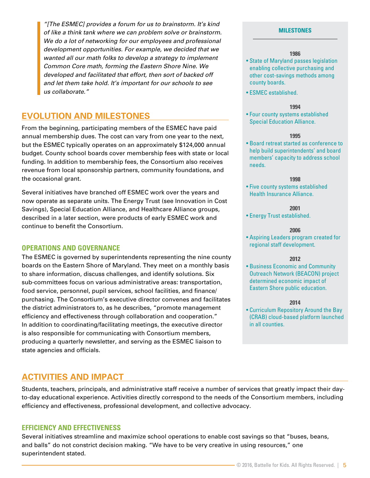*"[The ESMEC] provides a forum for us to brainstorm. It's kind of like a think tank where we can problem solve or brainstorm. We do a lot of networking for our employees and professional development opportunities. For example, we decided that we wanted all our math folks to develop a strategy to implement Common Core math, forming the Eastern Shore Nine. We developed and facilitated that effort, then sort of backed off and let them take hold. It's important for our schools to see us collaborate."*

## **EVOLUTION AND MILESTONES**

From the beginning, participating members of the ESMEC have paid annual membership dues. The cost can vary from one year to the next, but the ESMEC typically operates on an approximately \$124,000 annual budget. County school boards cover membership fees with state or local funding. In addition to membership fees, the Consortium also receives revenue from local sponsorship partners, community foundations, and the occasional grant.

Several initiatives have branched off ESMEC work over the years and now operate as separate units. The Energy Trust (see Innovation in Cost Savings), Special Education Alliance, and Healthcare Alliance groups, described in a later section, were products of early ESMEC work and continue to benefit the Consortium.

#### **OPERATIONS AND GOVERNANCE**

The ESMEC is governed by superintendents representing the nine county boards on the Eastern Shore of Maryland. They meet on a monthly basis to share information, discuss challenges, and identify solutions. Six sub-committees focus on various administrative areas: transportation, food service, personnel, pupil services, school facilities, and finance/ purchasing. The Consortium's executive director convenes and facilitates the district administrators to, as he describes, "promote management efficiency and effectiveness through collaboration and cooperation." In addition to coordinating/facilitating meetings, the executive director is also responsible for communicating with Consortium members, producing a quarterly newsletter, and serving as the ESMEC liaison to state agencies and officials.

#### **MILESTONES**

#### **1986**

- State of Maryland passes legislation enabling collective purchasing and other cost-savings methods among county boards.
- ESMEC established.

#### **1994**

• Four county systems established Special Education Alliance.

#### **1995**

• Board retreat started as conference to help build superintendents' and board members' capacity to address school needs.

#### **1998**

• Five county systems established Health Insurance Alliance.

#### **2001**

• Energy Trust established.

#### **2006**

• Aspiring Leaders program created for regional staff development.

#### **2012**

• Business Economic and Community Outreach Network (BEACON) project determined economic impact of Eastern Shore public education.

#### **2014**

• Curriculum Repository Around the Bay (CRAB) cloud-based platform launched in all counties.

## **ACTIVITIES AND IMPACT**

Students, teachers, principals, and administrative staff receive a number of services that greatly impact their dayto-day educational experience. Activities directly correspond to the needs of the Consortium members, including efficiency and effectiveness, professional development, and collective advocacy.

#### **EFFICIENCY AND EFFECTIVENESS**

Several initiatives streamline and maximize school operations to enable cost savings so that "buses, beans, and balls" do not constrict decision making. "We have to be very creative in using resources," one superintendent stated.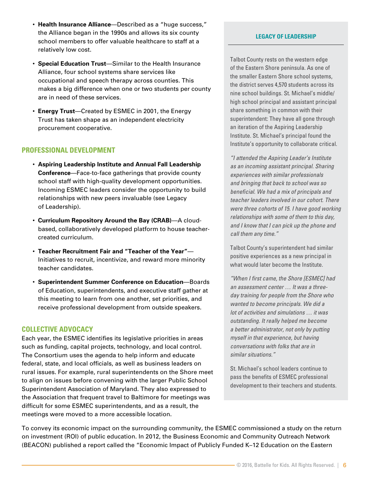- **Health Insurance Alliance**—Described as a "huge success," the Alliance began in the 1990s and allows its six county school members to offer valuable healthcare to staff at a relatively low cost.
- **Special Education Trust**—Similar to the Health Insurance Alliance, four school systems share services like occupational and speech therapy across counties. This makes a big difference when one or two students per county are in need of these services.
- **Energy Trust**—Created by ESMEC in 2001, the Energy Trust has taken shape as an independent electricity procurement cooperative.

## **PROFESSIONAL DEVELOPMENT**

- **Aspiring Leadership Institute and Annual Fall Leadership Conference**—Face-to-face gatherings that provide county school staff with high-quality development opportunities. Incoming ESMEC leaders consider the opportunity to build relationships with new peers invaluable (see Legacy of Leadership).
- **Curriculum Repository Around the Bay (CRAB)**—A cloudbased, collaboratively developed platform to house teachercreated curriculum.
- **Teacher Recruitment Fair and "Teacher of the Year"** Initiatives to recruit, incentivize, and reward more minority teacher candidates.
- **Superintendent Summer Conference on Education**—Boards of Education, superintendents, and executive staff gather at this meeting to learn from one another, set priorities, and receive professional development from outside speakers.

## **COLLECTIVE ADVOCACY**

Each year, the ESMEC identifies its legislative priorities in areas such as funding, capital projects, technology, and local control. The Consortium uses the agenda to help inform and educate federal, state, and local officials, as well as business leaders on rural issues. For example, rural superintendents on the Shore meet to align on issues before convening with the larger Public School Superintendent Association of Maryland. They also expressed to the Association that frequent travel to Baltimore for meetings was difficult for some ESMEC superintendents, and as a result, the meetings were moved to a more accessible location.

#### **LEGACY OF LEADERSHIP**

Talbot County rests on the western edge of the Eastern Shore peninsula. As one of the smaller Eastern Shore school systems, the district serves 4,570 students across its nine school buildings. St. Michael's middle/ high school principal and assistant principal share something in common with their superintendent: They have all gone through an iteration of the Aspiring Leadership Institute. St. Michael's principal found the Institute's opportunity to collaborate critical.

*"I attended the Aspiring Leader's Institute as an incoming assistant principal. Sharing experiences with similar professionals and bringing that back to school was so beneficial. We had a mix of principals and teacher leaders involved in our cohort. There were three cohorts of 15. I have good working relationships with some of them to this day, and I know that I can pick up the phone and call them any time."* 

Talbot County's superintendent had similar positive experiences as a new principal in what would later become the Institute.

*"When I first came, the Shore [ESMEC] had an assessment center … It was a threeday training for people from the Shore who wanted to become principals. We did a lot of activities and simulations … it was outstanding. It really helped me become a better administrator, not only by putting myself in that experience, but having conversations with folks that are in similar situations."* 

St. Michael's school leaders continue to pass the benefits of ESMEC professional development to their teachers and students.

To convey its economic impact on the surrounding community, the ESMEC commissioned a study on the return on investment (ROI) of public education. In 2012, the Business Economic and Community Outreach Network (BEACON) published a report called the "Economic Impact of Publicly Funded K–12 Education on the Eastern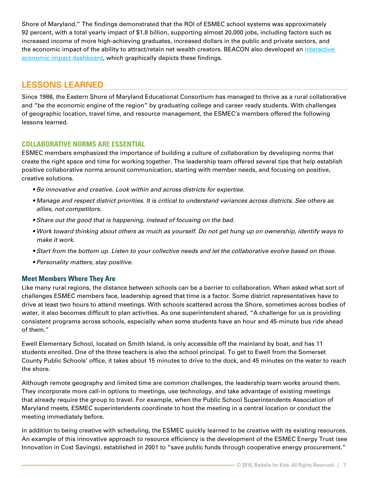Shore of Maryland." The findings demonstrated that the ROI of ESMEC school systems was approximately 92 percent, with a total yearly impact of \$1.8 billion, supporting almost 20,000 jobs, including factors such as increased income of more high-achieving graduates, increased dollars in the public and private sectors, and the economic impact of the ability to attract/retain net wealth creators. BEACON also developed an interactive [economic impact dashboard](http://esmec.org/ESMEC%20011714%20Dashboard.swf), which graphically depicts these findings.

## **LESSONS LEARNED**

Since 1986, the Eastern Shore of Maryland Educational Consortium has managed to thrive as a rural collaborative and "be the economic engine of the region" by graduating college and career ready students. With challenges of geographic location, travel time, and resource management, the ESMEC's members offered the following lessons learned.

## **COLLABORATIVE NORMS ARE ESSENTIAL**

ESMEC members emphasized the importance of building a culture of collaboration by developing norms that create the right space and time for working together. The leadership team offered several tips that help establish positive collaborative norms around communication, starting with member needs, and focusing on positive, creative solutions.

- *Be innovative and creative. Look within and across districts for expertise.*
- *Manage and respect district priorities. It is critical to understand variances across districts. See others as allies, not competitors.*
- *Share out the good that is happening, instead of focusing on the bad.*
- *Work toward thinking about others as much as yourself. Do not get hung up on ownership, identify ways to make it work.*
- *Start from the bottom up. Listen to your collective needs and let the collaborative evolve based on those.*
- *Personality matters, stay positive.*

## **Meet Members Where They Are**

Like many rural regions, the distance between schools can be a barrier to collaboration. When asked what sort of challenges ESMEC members face, leadership agreed that time is a factor. Some district representatives have to drive at least two hours to attend meetings. With schools scattered across the Shore, sometimes across bodies of water, it also becomes difficult to plan activities. As one superintendent shared, "A challenge for us is providing consistent programs across schools, especially when some students have an hour and 45-minute bus ride ahead of them."

Ewell Elementary School, located on Smith Island, is only accessible off the mainland by boat, and has 11 students enrolled. One of the three teachers is also the school principal. To get to Ewell from the Somerset County Public Schools' office, it takes about 15 minutes to drive to the dock, and 45 minutes on the water to reach the shore.

Although remote geography and limited time are common challenges, the leadership team works around them. They incorporate more call-in options to meetings, use technology, and take advantage of existing meetings that already require the group to travel. For example, when the Public School Superintendents Association of Maryland meets, ESMEC superintendents coordinate to host the meeting in a central location or conduct the meeting immediately before.

In addition to being creative with scheduling, the ESMEC quickly learned to be creative with its existing resources. An example of this innovative approach to resource efficiency is the development of the ESMEC Energy Trust (see Innovation in Cost Savings), established in 2001 to "save public funds through cooperative energy procurement."